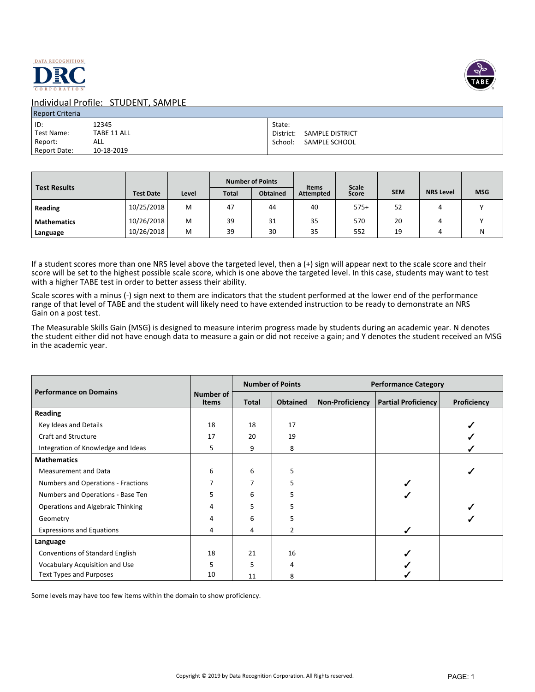



| <b>Report Criteria</b> |             |                           |
|------------------------|-------------|---------------------------|
| l ID:                  | 12345       | State:                    |
| Test Name:             | TABE 11 ALL | District: SAMPLE DISTRICT |
| Report:                | ALL         | School:<br>SAMPLE SCHOOL  |
| Report Date:           | 10-18-2019  |                           |

| <b>Test Results</b> |                  |       |              | <b>Number of Points</b> | <b>Items</b>     | <b>Scale</b> |            |                  |            |
|---------------------|------------------|-------|--------------|-------------------------|------------------|--------------|------------|------------------|------------|
|                     | <b>Test Date</b> | Level | <b>Total</b> | <b>Obtained</b>         | <b>Attempted</b> | Score        | <b>SEM</b> | <b>NRS Level</b> | <b>MSG</b> |
| Reading             | 10/25/2018       | м     | 47           | 44                      | 40               | $575+$       | 52         |                  |            |
| <b>Mathematics</b>  | 10/26/2018       | м     | 39           | 31                      | 35               | 570          | 20         |                  |            |
| Language            | 10/26/2018       | M     | 39           | 30                      | 35               | 552          | 19         |                  | N          |

If a student scores more than one NRS level above the targeted level, then a (+) sign will appear next to the scale score and their score will be set to the highest possible scale score, which is one above the targeted level. In this case, students may want to test with a higher TABE test in order to better assess their ability.

Scale scores with a minus (-) sign next to them are indicators that the student performed at the lower end of the performance range of that level of TABE and the student will likely need to have extended instruction to be ready to demonstrate an NRS Gain on a post test.

The Measurable Skills Gain (MSG) is designed to measure interim progress made by students during an academic year. N denotes the student either did not have enough data to measure a gain or did not receive a gain; and Y denotes the student received an MSG in the academic year.

|                                    |                           |              | <b>Number of Points</b> | <b>Performance Category</b> |                            |                    |
|------------------------------------|---------------------------|--------------|-------------------------|-----------------------------|----------------------------|--------------------|
| <b>Performance on Domains</b>      | Number of<br><b>Items</b> | <b>Total</b> | <b>Obtained</b>         | <b>Non-Proficiency</b>      | <b>Partial Proficiency</b> | <b>Proficiency</b> |
| <b>Reading</b>                     |                           |              |                         |                             |                            |                    |
| Key Ideas and Details              | 18                        | 18           | 17                      |                             |                            |                    |
| <b>Craft and Structure</b>         | 17                        | 20           | 19                      |                             |                            |                    |
| Integration of Knowledge and Ideas | 5                         | 9            | 8                       |                             |                            |                    |
| <b>Mathematics</b>                 |                           |              |                         |                             |                            |                    |
| <b>Measurement and Data</b>        | 6                         | 6            | 5                       |                             |                            |                    |
| Numbers and Operations - Fractions | 7                         | 7            | 5                       |                             |                            |                    |
| Numbers and Operations - Base Ten  | 5                         | 6            | 5                       |                             |                            |                    |
| Operations and Algebraic Thinking  | 4                         | 5            | 5                       |                             |                            |                    |
| Geometry                           | 4                         | 6            | 5                       |                             |                            |                    |
| <b>Expressions and Equations</b>   | 4                         | 4            | 2                       |                             |                            |                    |
| Language                           |                           |              |                         |                             |                            |                    |
| Conventions of Standard English    | 18                        | 21           | 16                      |                             |                            |                    |
| Vocabulary Acquisition and Use     | 5                         | 5            | 4                       |                             |                            |                    |
| <b>Text Types and Purposes</b>     | 10                        | 11           | 8                       |                             |                            |                    |

Some levels may have too few items within the domain to show proficiency.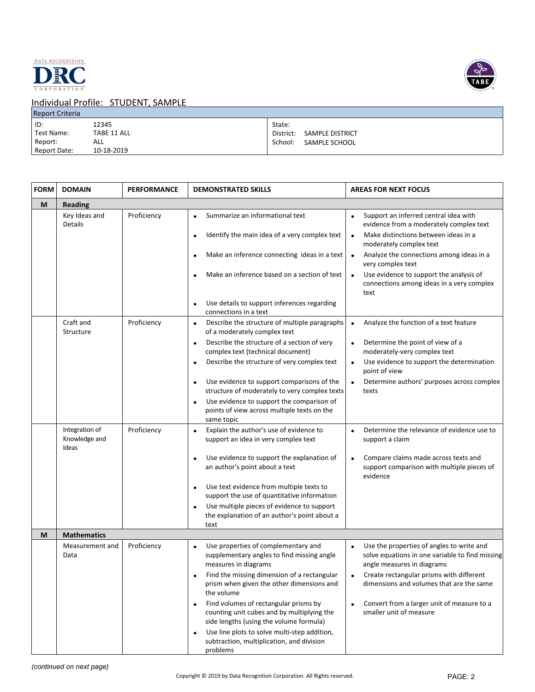



| <b>Report Criteria</b> |             |                                     |
|------------------------|-------------|-------------------------------------|
| ID:                    | 12345       | State:                              |
| Test Name:             | TABE 11 ALL | District:<br><b>SAMPLE DISTRICT</b> |
| Report:                | ALL         | SAMPLE SCHOOL<br>School:            |
| Report Date:           | 10-18-2019  |                                     |

| <b>FORM</b> | <b>DOMAIN</b>                            | <b>PERFORMANCE</b> | <b>DEMONSTRATED SKILLS</b>                                                                                                     | <b>AREAS FOR NEXT FOCUS</b>                                                                                                                        |
|-------------|------------------------------------------|--------------------|--------------------------------------------------------------------------------------------------------------------------------|----------------------------------------------------------------------------------------------------------------------------------------------------|
| M           | <b>Reading</b>                           |                    |                                                                                                                                |                                                                                                                                                    |
|             | Key Ideas and<br>Details                 | Proficiency        | Summarize an informational text<br>Identify the main idea of a very complex text                                               | Support an inferred central idea with<br>$\bullet$<br>evidence from a moderately complex text<br>Make distinctions between ideas in a<br>$\bullet$ |
|             |                                          |                    |                                                                                                                                | moderately complex text                                                                                                                            |
|             |                                          |                    | Make an inference connecting ideas in a text                                                                                   | Analyze the connections among ideas in a<br>$\bullet$<br>very complex text                                                                         |
|             |                                          |                    | Make an inference based on a section of text                                                                                   | Use evidence to support the analysis of<br>$\bullet$<br>connections among ideas in a very complex<br>text                                          |
|             |                                          |                    | Use details to support inferences regarding<br>connections in a text                                                           |                                                                                                                                                    |
|             | Craft and<br>Structure                   | Proficiency        | Describe the structure of multiple paragraphs<br>$\bullet$<br>of a moderately complex text                                     | Analyze the function of a text feature<br>$\bullet$                                                                                                |
|             |                                          |                    | Describe the structure of a section of very<br>complex text (technical document)                                               | Determine the point of view of a<br>moderately-very complex text                                                                                   |
|             |                                          |                    | Describe the structure of very complex text<br>$\bullet$                                                                       | Use evidence to support the determination<br>$\bullet$<br>point of view                                                                            |
|             |                                          |                    | Use evidence to support comparisons of the<br>$\bullet$<br>structure of moderately to very complex texts                       | Determine authors' purposes across complex<br>texts                                                                                                |
|             |                                          |                    | Use evidence to support the comparison of<br>points of view across multiple texts on the<br>same topic                         |                                                                                                                                                    |
|             | Integration of<br>Knowledge and<br>Ideas | Proficiency        | Explain the author's use of evidence to<br>$\bullet$<br>support an idea in very complex text                                   | Determine the relevance of evidence use to<br>$\bullet$<br>support a claim                                                                         |
|             |                                          |                    | Use evidence to support the explanation of<br>an author's point about a text                                                   | Compare claims made across texts and<br>support comparison with multiple pieces of<br>evidence                                                     |
|             |                                          |                    | Use text evidence from multiple texts to<br>$\bullet$<br>support the use of quantitative information                           |                                                                                                                                                    |
|             |                                          |                    | Use multiple pieces of evidence to support<br>the explanation of an author's point about a<br>text                             |                                                                                                                                                    |
| M           | <b>Mathematics</b>                       |                    |                                                                                                                                |                                                                                                                                                    |
|             | Measurement and<br>Data                  | Proficiency        | Use properties of complementary and<br>$\bullet$<br>supplementary angles to find missing angle<br>measures in diagrams         | Use the properties of angles to write and<br>$\bullet$<br>solve equations in one variable to find missing<br>angle measures in diagrams            |
|             |                                          |                    | Find the missing dimension of a rectangular<br>prism when given the other dimensions and<br>the volume                         | Create rectangular prisms with different<br>dimensions and volumes that are the same                                                               |
|             |                                          |                    | Find volumes of rectangular prisms by<br>counting unit cubes and by multiplying the<br>side lengths (using the volume formula) | Convert from a larger unit of measure to a<br>$\bullet$<br>smaller unit of measure                                                                 |
|             |                                          |                    | Use line plots to solve multi-step addition,<br>subtraction, multiplication, and division<br>problems                          |                                                                                                                                                    |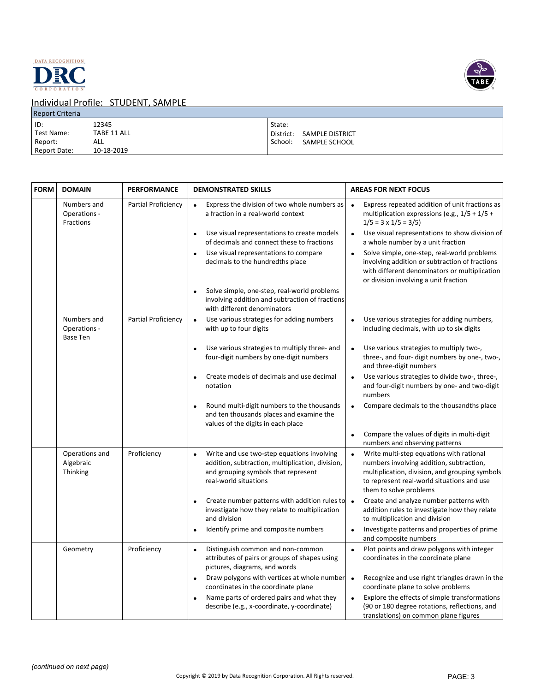



| <b>Report Criteria</b>                       |                                           |                                                                    |
|----------------------------------------------|-------------------------------------------|--------------------------------------------------------------------|
| ID:<br>Test Name:<br>Report:<br>Report Date: | 12345<br>TABE 11 ALL<br>ALL<br>10-18-2019 | State:<br>SAMPLE DISTRICT<br>District:<br>School:<br>SAMPLE SCHOOL |
|                                              |                                           |                                                                    |

| <b>FORM</b> | <b>DOMAIN</b>                                  | <b>PERFORMANCE</b>  | <b>DEMONSTRATED SKILLS</b>                                                                                                                                                                                                                                                | <b>AREAS FOR NEXT FOCUS</b>                                                                                                                                                                                                                                                                                                                                                                        |
|-------------|------------------------------------------------|---------------------|---------------------------------------------------------------------------------------------------------------------------------------------------------------------------------------------------------------------------------------------------------------------------|----------------------------------------------------------------------------------------------------------------------------------------------------------------------------------------------------------------------------------------------------------------------------------------------------------------------------------------------------------------------------------------------------|
|             | Numbers and<br>Operations -<br>Fractions       | Partial Proficiency | Express the division of two whole numbers as<br>a fraction in a real-world context<br>Use visual representations to create models<br>of decimals and connect these to fractions<br>Use visual representations to compare<br>$\bullet$<br>decimals to the hundredths place | Express repeated addition of unit fractions as<br>multiplication expressions (e.g., $1/5 + 1/5 +$<br>$1/5 = 3 \times 1/5 = 3/5$<br>Use visual representations to show division of<br>$\bullet$<br>a whole number by a unit fraction<br>Solve simple, one-step, real-world problems<br>$\bullet$<br>involving addition or subtraction of fractions<br>with different denominators or multiplication |
|             |                                                |                     | Solve simple, one-step, real-world problems<br>$\bullet$<br>involving addition and subtraction of fractions<br>with different denominators                                                                                                                                | or division involving a unit fraction                                                                                                                                                                                                                                                                                                                                                              |
|             | Numbers and<br>Operations -<br><b>Base Ten</b> | Partial Proficiency | Use various strategies for adding numbers<br>$\bullet$<br>with up to four digits                                                                                                                                                                                          | Use various strategies for adding numbers,<br>$\bullet$<br>including decimals, with up to six digits                                                                                                                                                                                                                                                                                               |
|             |                                                |                     | Use various strategies to multiply three- and<br>$\bullet$<br>four-digit numbers by one-digit numbers                                                                                                                                                                     | Use various strategies to multiply two-,<br>$\bullet$<br>three-, and four- digit numbers by one-, two-,<br>and three-digit numbers                                                                                                                                                                                                                                                                 |
|             |                                                |                     | Create models of decimals and use decimal<br>notation                                                                                                                                                                                                                     | Use various strategies to divide two-, three-,<br>$\bullet$<br>and four-digit numbers by one- and two-digit<br>numbers                                                                                                                                                                                                                                                                             |
|             |                                                |                     | Round multi-digit numbers to the thousands<br>$\bullet$<br>and ten thousands places and examine the<br>values of the digits in each place                                                                                                                                 | Compare decimals to the thousandths place<br>$\bullet$                                                                                                                                                                                                                                                                                                                                             |
|             |                                                |                     |                                                                                                                                                                                                                                                                           | Compare the values of digits in multi-digit<br>$\bullet$<br>numbers and observing patterns                                                                                                                                                                                                                                                                                                         |
|             | Operations and<br>Algebraic<br>Thinking        | Proficiency         | Write and use two-step equations involving<br>$\bullet$<br>addition, subtraction, multiplication, division,<br>and grouping symbols that represent<br>real-world situations                                                                                               | Write multi-step equations with rational<br>$\bullet$<br>numbers involving addition, subtraction,<br>multiplication, division, and grouping symbols<br>to represent real-world situations and use<br>them to solve problems                                                                                                                                                                        |
|             |                                                |                     | Create number patterns with addition rules to<br>$\bullet$<br>investigate how they relate to multiplication<br>and division                                                                                                                                               | Create and analyze number patterns with<br>$\bullet$<br>addition rules to investigate how they relate<br>to multiplication and division                                                                                                                                                                                                                                                            |
|             |                                                |                     | Identify prime and composite numbers<br>$\bullet$                                                                                                                                                                                                                         | Investigate patterns and properties of prime<br>$\bullet$<br>and composite numbers                                                                                                                                                                                                                                                                                                                 |
|             | Geometry                                       | Proficiency         | Distinguish common and non-common<br>$\bullet$<br>attributes of pairs or groups of shapes using<br>pictures, diagrams, and words                                                                                                                                          | Plot points and draw polygons with integer<br>$\bullet$<br>coordinates in the coordinate plane                                                                                                                                                                                                                                                                                                     |
|             |                                                |                     | Draw polygons with vertices at whole number<br>$\bullet$<br>coordinates in the coordinate plane                                                                                                                                                                           | Recognize and use right triangles drawn in the<br>$\bullet$<br>coordinate plane to solve problems                                                                                                                                                                                                                                                                                                  |
|             |                                                |                     | Name parts of ordered pairs and what they<br>describe (e.g., x-coordinate, y-coordinate)                                                                                                                                                                                  | Explore the effects of simple transformations<br>$\bullet$<br>(90 or 180 degree rotations, reflections, and<br>translations) on common plane figures                                                                                                                                                                                                                                               |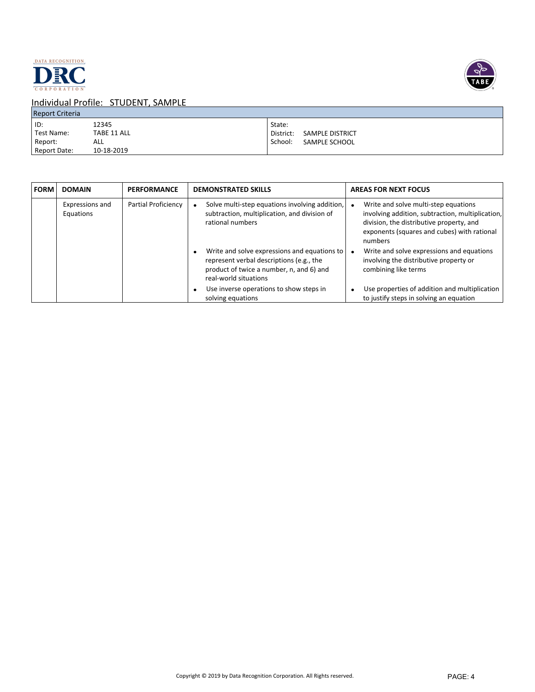



| <b>Report Criteria</b> |             |                                     |
|------------------------|-------------|-------------------------------------|
| ID:                    | 12345       | State:                              |
| Test Name:             | TABE 11 ALL | <b>SAMPLE DISTRICT</b><br>District: |
| Report:                | ALL         | School:<br>SAMPLE SCHOOL            |
| Report Date:           | 10-18-2019  |                                     |

| FORM | <b>DOMAIN</b>                | <b>PERFORMANCE</b>  | <b>DEMONSTRATED SKILLS</b>                                                                                                                                    | <b>AREAS FOR NEXT FOCUS</b>                                                                                                                                                                    |
|------|------------------------------|---------------------|---------------------------------------------------------------------------------------------------------------------------------------------------------------|------------------------------------------------------------------------------------------------------------------------------------------------------------------------------------------------|
|      | Expressions and<br>Equations | Partial Proficiency | Solve multi-step equations involving addition,<br>subtraction, multiplication, and division of<br>rational numbers                                            | Write and solve multi-step equations<br>involving addition, subtraction, multiplication,<br>division, the distributive property, and<br>exponents (squares and cubes) with rational<br>numbers |
|      |                              |                     | Write and solve expressions and equations to<br>represent verbal descriptions (e.g., the<br>product of twice a number, n, and 6) and<br>real-world situations | Write and solve expressions and equations<br>involving the distributive property or<br>combining like terms                                                                                    |
|      |                              |                     | Use inverse operations to show steps in<br>solving equations                                                                                                  | Use properties of addition and multiplication<br>to justify steps in solving an equation                                                                                                       |